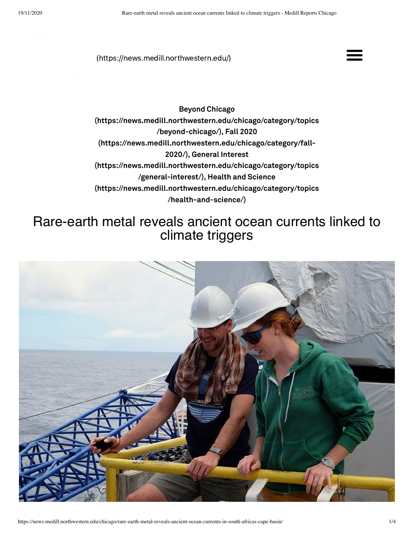[\(https://news.medill.northwestern.edu/\)](https://news.medill.northwestern.edu/)



Beyond Chicago [\(https://news.medill.northwestern.edu/chicago/category/topics](https://news.medill.northwestern.edu/chicago/category/topics/beyond-chicago/) /beyond-chicago/), Fall 2020 [\(https://news.medill.northwestern.edu/chicago/category/fall-](https://news.medill.northwestern.edu/chicago/category/fall-2020/)2020/), General Interest [\(https://news.medill.northwestern.edu/chicago/category/topics](https://news.medill.northwestern.edu/chicago/category/topics/general-interest/) /general-interest/), Health and Science [\(https://news.medill.northwestern.edu/chicago/category/topics](https://news.medill.northwestern.edu/chicago/category/topics/health-and-science/) /health-and-science/)

## Rare-earth metal reveals ancient ocean currents linked to climate triggers

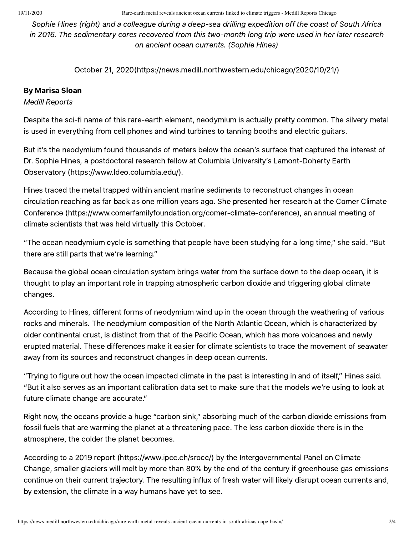19/11/2020 Rare-earth metal reveals ancient ocean currents linked to climate triggers - Medill Reports Chicago

Sophie Hines (right) and a colleague during a deep-sea drilling expedition off the coast of South Africa in 2016. The sedimentary cores recovered from this two-month long trip were used in her later research on ancient ocean currents. (Sophie Hines)

October 21, [2020\(https://news.medill.northwestern.edu/chicago/2020/10/21/\)](https://news.medill.northwestern.edu/chicago/2020/10/21/)

## By Marisa Sloan

Medill Reports

Despite the sci-fi name of this rare-earth element, neodymium is actually pretty common. The silvery metal is used in everything from cell phones and wind turbines to tanning booths and electric guitars.

But it's the neodymium found thousands of meters below the ocean's surface that captured the interest of Dr. Sophie Hines, a postdoctoral research fellow at Columbia University's Lamont-Doherty Earth Observatory [\(https://www.ldeo.columbia.edu/\).](https://www.ldeo.columbia.edu/)

Hines traced the metal trapped within ancient marine sediments to reconstruct changes in ocean circulation reaching as far back as one million years ago. She presented her research at the Comer Climate Conference [\(https://www.comerfamilyfoundation.org/comer-climate-conference\),](https://www.comerfamilyfoundation.org/comer-climate-conference) an annual meeting of climate scientists that was held virtually this October.

"The ocean neodymium cycle is something that people have been studying for a long time," she said. "But there are still parts that we're learning."

Because the global ocean circulation system brings water from the surface down to the deep ocean, it is thought to play an important role in trapping atmospheric carbon dioxide and triggering global climate changes.

According to Hines, different forms of neodymium wind up in the ocean through the weathering of various rocks and minerals. The neodymium composition of the North Atlantic Ocean, which is characterized by older continental crust, is distinct from that of the Pacific Ocean, which has more volcanoes and newly erupted material. These differences make it easier for climate scientists to trace the movement of seawater away from its sources and reconstruct changes in deep ocean currents.

"Trying to figure out how the ocean impacted climate in the past is interesting in and of itself," Hines said. "But it also serves as an important calibration data set to make sure that the models we're using to look at future climate change are accurate."

Right now, the oceans provide a huge "carbon sink," absorbing much of the carbon dioxide emissions from fossil fuels that are warming the planet at a threatening pace. The less carbon dioxide there is in the atmosphere, the colder the planet becomes.

According to a 2019 report [\(https://www.ipcc.ch/srocc/\)](https://www.ipcc.ch/srocc/) by the Intergovernmental Panel on Climate Change, smaller glaciers will melt by more than 80% by the end of the century if greenhouse gas emissions continue on their current trajectory. The resulting influx of fresh water will likely disrupt ocean currents and, by extension, the climate in a way humans have yet to see.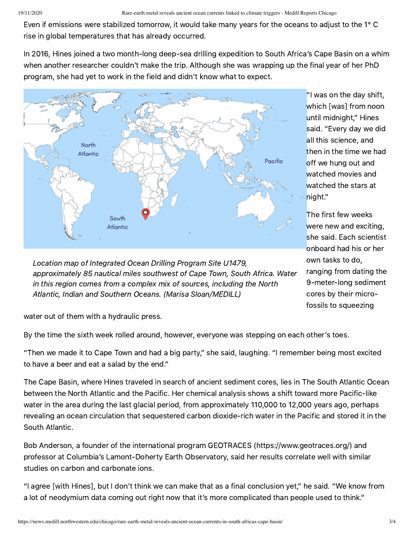Even if emissions were stabilized tomorrow, it would take many years for the oceans to adjust to the 1° C rise in global temperatures that has already occurred.

In 2016, Hines joined a two month-long deep-sea drilling expedition to South Africa's Cape Basin on a whim when another researcher couldn't make the trip. Although she was wrapping up the final year of her PhD program, she had yet to work in the field and didn't know what to expect.



Location map of Integrated Ocean Drilling Program Site U1479, approximately 85 nautical miles southwest of Cape Town, South Africa. Water in this region comes from a complex mix of sources, including the North Atlantic, Indian and Southern Oceans. (Marisa Sloan/MEDILL)

"I was on the day shift, which [was] from noon until midnight," Hines said. "Every day we did all this science, and then in the time we had off we hung out and watched movies and watched the stars at night."

The first few weeks were new and exciting, she said. Each scientist onboard had his or her own tasks to do, ranging from dating the 9-meter-long sediment cores by their microfossils to squeezing

water out of them with a hydraulic press.

By the time the sixth week rolled around, however, everyone was stepping on each other's toes.

"Then we made it to Cape Town and had a big party," she said, laughing. "I remember being most excited to have a beer and eat a salad by the end."

The Cape Basin, where Hines traveled in search of ancient sediment cores, lies in The South Atlantic Ocean between the North Atlantic and the Pacific. Her chemical analysis shows a shift toward more Pacific-like water in the area during the last glacial period, from approximately 110,000 to 12,000 years ago, perhaps revealing an ocean circulation that sequestered carbon dioxide-rich water in the Pacific and stored it in the South Atlantic.

Bob Anderson, a founder of the international program GEOTRACES [\(https://www.geotraces.org/\)](https://www.geotraces.org/) and professor at Columbia's Lamont-Doherty Earth Observatory, said her results correlate well with similar studies on carbon and carbonate ions.

"I agree [with Hines], but I don't think we can make that as a final conclusion yet," he said. "We know from a lot of neodymium data coming out right now that it's more complicated than people used to think."